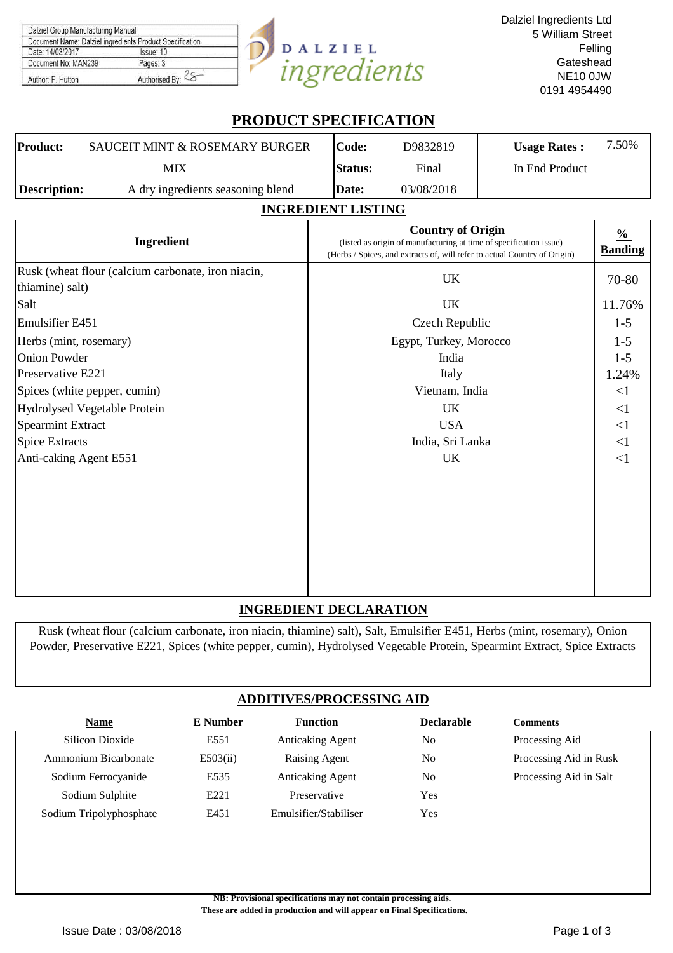| Dalziel Group Manufacturing Manual                       |                |                   |
|----------------------------------------------------------|----------------|-------------------|
| Document Name: Dalziel ingredients Product Specification |                |                   |
| Date: 14/03/2017                                         | Issue: 10      | DALZIEL           |
| Document No: MAN239                                      | Pages: 3       |                   |
| Author: F. Hutton                                        | Authorised By: | <i>10rea1ents</i> |

Dalziel Ingredients Ltd 5 William Street Felling **Gateshead** NE10 0JW 0191 4954490

# **PRODUCT SPECIFICATION**

| <b>Product:</b> | SAUCEIT MINT & ROSEMARY BURGER<br>lCode: |         | D9832819   | <b>Usage Rates:</b> | 7.50% |
|-----------------|------------------------------------------|---------|------------|---------------------|-------|
|                 | MIX                                      | Status: | Final      | In End Product      |       |
| Description:    | A dry ingredients seasoning blend        | Date:   | 03/08/2018 |                     |       |

## **INGREDIENT LISTING**

| Ingredient                                                            | <b>Country of Origin</b><br>(listed as origin of manufacturing at time of specification issue)<br>(Herbs / Spices, and extracts of, will refer to actual Country of Origin) | $\frac{0}{0}$<br><b>Banding</b> |
|-----------------------------------------------------------------------|-----------------------------------------------------------------------------------------------------------------------------------------------------------------------------|---------------------------------|
| Rusk (wheat flour (calcium carbonate, iron niacin,<br>thiamine) salt) | <b>UK</b>                                                                                                                                                                   | 70-80                           |
| Salt                                                                  | <b>UK</b>                                                                                                                                                                   | 11.76%                          |
| <b>Emulsifier E451</b>                                                | Czech Republic                                                                                                                                                              | $1 - 5$                         |
| Herbs (mint, rosemary)                                                | Egypt, Turkey, Morocco                                                                                                                                                      | $1 - 5$                         |
| <b>Onion Powder</b>                                                   | India                                                                                                                                                                       | $1 - 5$                         |
| Preservative E221                                                     | Italy                                                                                                                                                                       | 1.24%                           |
| Spices (white pepper, cumin)                                          | Vietnam, India                                                                                                                                                              | $\leq$ 1                        |
| Hydrolysed Vegetable Protein                                          | <b>UK</b>                                                                                                                                                                   | $\leq$ 1                        |
| Spearmint Extract                                                     | <b>USA</b>                                                                                                                                                                  | $\leq$ 1                        |
| <b>Spice Extracts</b>                                                 | India, Sri Lanka                                                                                                                                                            | $\leq$ 1                        |
| Anti-caking Agent E551                                                | <b>UK</b>                                                                                                                                                                   | $\leq$ 1                        |
|                                                                       |                                                                                                                                                                             |                                 |
|                                                                       |                                                                                                                                                                             |                                 |
|                                                                       |                                                                                                                                                                             |                                 |

## **INGREDIENT DECLARATION**

Rusk (wheat flour (calcium carbonate, iron niacin, thiamine) salt), Salt, Emulsifier E451, Herbs (mint, rosemary), Onion Powder, Preservative E221, Spices (white pepper, cumin), Hydrolysed Vegetable Protein, Spearmint Extract, Spice Extracts

## **ADDITIVES/PROCESSING AID**

| Name                    | E Number         | <b>Function</b>         | <b>Declarable</b> | Comments               |
|-------------------------|------------------|-------------------------|-------------------|------------------------|
| Silicon Dioxide         | E551             | Anticaking Agent        | No                | Processing Aid         |
| Ammonium Bicarbonate    | E503(ii)         | Raising Agent           | No                | Processing Aid in Rusk |
| Sodium Ferrocyanide     | E535             | <b>Anticaking Agent</b> | N <sub>0</sub>    | Processing Aid in Salt |
| Sodium Sulphite         | E <sub>221</sub> | Preservative            | Yes               |                        |
| Sodium Tripolyphosphate | E451             | Emulsifier/Stabiliser   | Yes               |                        |

**NB: Provisional specifications may not contain processing aids. These are added in production and will appear on Final Specifications.**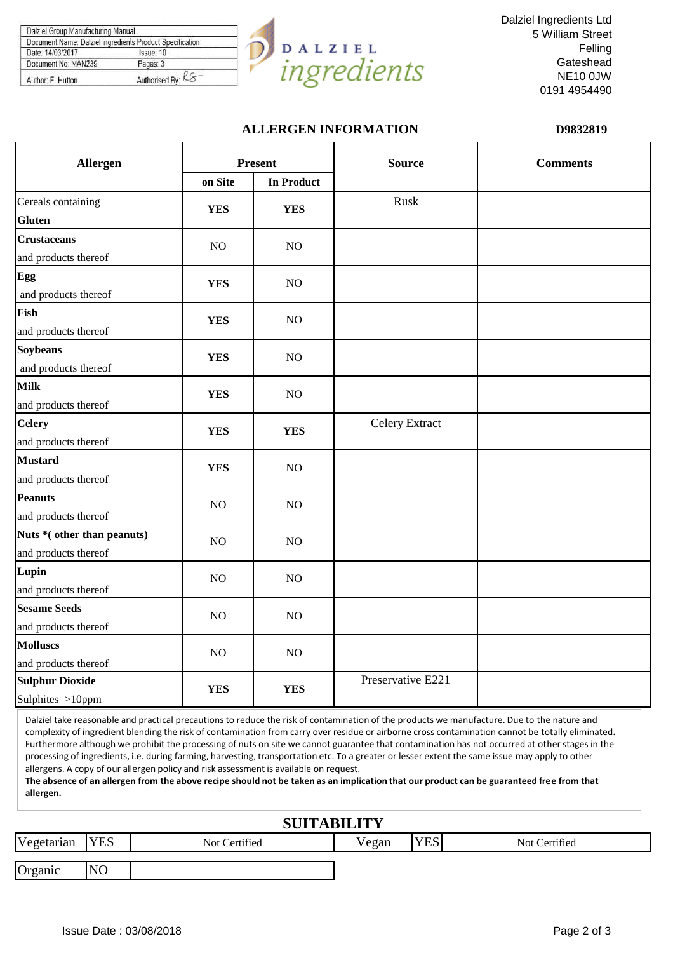| Document Name: Dalziel ingredients Product Specification |                   |
|----------------------------------------------------------|-------------------|
| Date: 14/03/2017                                         | Issue: 10         |
| Document No: MAN239                                      | Pages: 3          |
| Author: F. Hutton                                        | Authorised By: K& |



Dalziel Ingredients Ltd 5 William Street Felling **Gateshead** NE10 0JW 0191 4954490

## **ALLERGEN INFORMATION D9832819**

| <b>Allergen</b>            |            | <b>Present</b>    | <b>Source</b>         | <b>Comments</b> |  |
|----------------------------|------------|-------------------|-----------------------|-----------------|--|
|                            | on Site    | <b>In Product</b> |                       |                 |  |
| Cereals containing         | <b>YES</b> | <b>YES</b>        | Rusk                  |                 |  |
| <b>Gluten</b>              |            |                   |                       |                 |  |
| <b>Crustaceans</b>         | NO         | NO                |                       |                 |  |
| and products thereof       |            |                   |                       |                 |  |
| Egg                        | <b>YES</b> | NO                |                       |                 |  |
| and products thereof       |            |                   |                       |                 |  |
| Fish                       | <b>YES</b> | NO                |                       |                 |  |
| and products thereof       |            |                   |                       |                 |  |
| <b>Soybeans</b>            | <b>YES</b> | NO                |                       |                 |  |
| and products thereof       |            |                   |                       |                 |  |
| <b>Milk</b>                | <b>YES</b> | NO                |                       |                 |  |
| and products thereof       |            |                   |                       |                 |  |
| <b>Celery</b>              | <b>YES</b> | <b>YES</b>        | <b>Celery Extract</b> |                 |  |
| and products thereof       |            |                   |                       |                 |  |
| <b>Mustard</b>             | <b>YES</b> | NO                |                       |                 |  |
| and products thereof       |            |                   |                       |                 |  |
| <b>Peanuts</b>             | NO         | NO                |                       |                 |  |
| and products thereof       |            |                   |                       |                 |  |
| Nuts *(other than peanuts) | NO         | NO                |                       |                 |  |
| and products thereof       |            |                   |                       |                 |  |
| Lupin                      | NO         | NO                |                       |                 |  |
| and products thereof       |            |                   |                       |                 |  |
| <b>Sesame Seeds</b>        | NO         | NO                |                       |                 |  |
| and products thereof       |            |                   |                       |                 |  |
| <b>Molluscs</b>            | NO         | NO                |                       |                 |  |
| and products thereof       |            |                   |                       |                 |  |
| <b>Sulphur Dioxide</b>     | <b>YES</b> | <b>YES</b>        | Preservative E221     |                 |  |
| Sulphites >10ppm           |            |                   |                       |                 |  |

Dalziel take reasonable and practical precautions to reduce the risk of contamination of the products we manufacture. Due to the nature and complexity of ingredient blending the risk of contamination from carry over residue or airborne cross contamination cannot be totally eliminated**.**  Furthermore although we prohibit the processing of nuts on site we cannot guarantee that contamination has not occurred at other stages in the processing of ingredients, i.e. during farming, harvesting, transportation etc. To a greater or lesser extent the same issue may apply to other allergens. A copy of our allergen policy and risk assessment is available on request.

**The absence of an allergen from the above recipe should not be taken as an implication that our product can be guaranteed free from that allergen.**

# **SUITABILITY**

| I T 1<br>vegetarian          | <b>YES</b>     | Not Certified | $\mathbf{v}$<br>egan | <b>TTO</b><br>الاسلالية | Not Certified |
|------------------------------|----------------|---------------|----------------------|-------------------------|---------------|
|                              |                |               |                      |                         |               |
| $\mathsf{I} \cap$<br>Organic | N <sub>O</sub> |               |                      |                         |               |